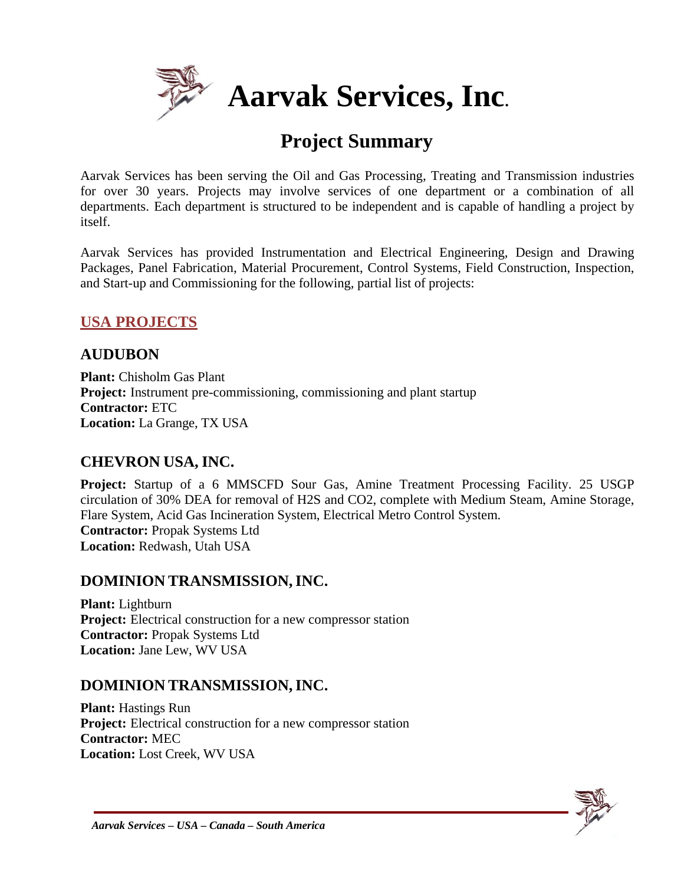

# **Project Summary**

Aarvak Services has been serving the Oil and Gas Processing, Treating and Transmission industries for over 30 years. Projects may involve services of one department or a combination of all departments. Each department is structured to be independent and is capable of handling a project by itself.

Aarvak Services has provided Instrumentation and Electrical Engineering, Design and Drawing Packages, Panel Fabrication, Material Procurement, Control Systems, Field Construction, Inspection, and Start-up and Commissioning for the following, partial list of projects:

#### **USA PROJECTS**

#### **AUDUBON**

**Plant:** Chisholm Gas Plant **Project:** Instrument pre-commissioning, commissioning and plant startup **Contractor:** ETC **Location:** La Grange, TX USA

#### **CHEVRON USA, INC.**

**Project:** Startup of a 6 MMSCFD Sour Gas, Amine Treatment Processing Facility. 25 USGP circulation of 30% DEA for removal of H2S and CO2, complete with Medium Steam, Amine Storage, Flare System, Acid Gas Incineration System, Electrical Metro Control System. **Contractor:** Propak Systems Ltd **Location:** Redwash, Utah USA

#### **DOMINION TRANSMISSION,INC.**

**Plant:** Lightburn **Project:** Electrical construction for a new compressor station **Contractor:** Propak Systems Ltd **Location:** Jane Lew, WV USA

#### **DOMINION TRANSMISSION,INC.**

**Plant:** Hastings Run **Project:** Electrical construction for a new compressor station **Contractor:** MEC **Location:** Lost Creek, WV USA

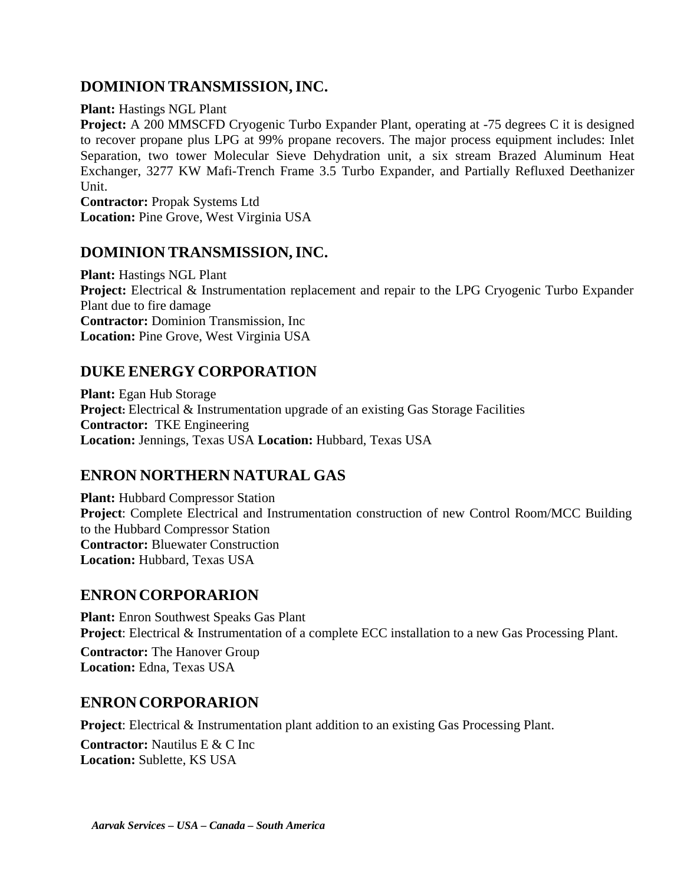#### **DOMINION TRANSMISSION,INC.**

#### **Plant:** Hastings NGL Plant

**Project:** A 200 MMSCFD Cryogenic Turbo Expander Plant, operating at -75 degrees C it is designed to recover propane plus LPG at 99% propane recovers. The major process equipment includes: Inlet Separation, two tower Molecular Sieve Dehydration unit, a six stream Brazed Aluminum Heat Exchanger, 3277 KW Mafi-Trench Frame 3.5 Turbo Expander, and Partially Refluxed Deethanizer Unit.

**Contractor:** Propak Systems Ltd **Location:** Pine Grove, West Virginia USA

#### **DOMINION TRANSMISSION,INC.**

**Plant:** Hastings NGL Plant **Project:** Electrical & Instrumentation replacement and repair to the LPG Cryogenic Turbo Expander Plant due to fire damage **Contractor:** Dominion Transmission, Inc **Location:** Pine Grove, West Virginia USA

#### **DUKE ENERGY CORPORATION**

**Plant:** Egan Hub Storage **Project:** Electrical & Instrumentation upgrade of an existing Gas Storage Facilities **Contractor:** TKE Engineering **Location:** Jennings, Texas USA **Location:** Hubbard, Texas USA

## **ENRON NORTHERN NATURAL GAS**

**Plant:** Hubbard Compressor Station **Project**: Complete Electrical and Instrumentation construction of new Control Room/MCC Building to the Hubbard Compressor Station **Contractor:** Bluewater Construction **Location:** Hubbard, Texas USA

#### **ENRONCORPORARION**

**Plant:** Enron Southwest Speaks Gas Plant **Project**: Electrical & Instrumentation of a complete ECC installation to a new Gas Processing Plant.

**Contractor:** The Hanover Group **Location:** Edna, Texas USA

#### **ENRONCORPORARION**

**Project:** Electrical & Instrumentation plant addition to an existing Gas Processing Plant.

**Contractor:** Nautilus E & C Inc **Location:** Sublette, KS USA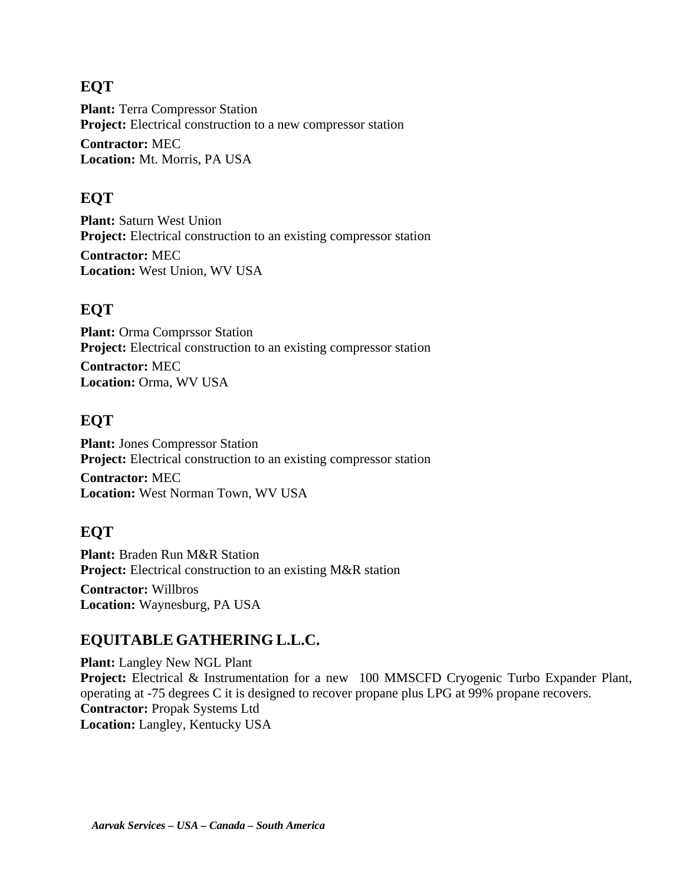#### **EQT**

**Plant:** Terra Compressor Station **Project:** Electrical construction to a new compressor station **Contractor:** MEC **Location:** Mt. Morris, PA USA

#### **EQT**

**Plant:** Saturn West Union **Project:** Electrical construction to an existing compressor station **Contractor:** MEC **Location:** West Union, WV USA

#### **EQT**

**Plant:** Orma Comprssor Station **Project:** Electrical construction to an existing compressor station **Contractor:** MEC **Location:** Orma, WV USA

#### **EQT**

**Plant:** Jones Compressor Station **Project:** Electrical construction to an existing compressor station **Contractor:** MEC

**Location:** West Norman Town, WV USA

#### **EQT**

**Plant:** Braden Run M&R Station **Project:** Electrical construction to an existing M&R station **Contractor:** Willbros **Location:** Waynesburg, PA USA

#### **EQUITABLE GATHERING L.L.C.**

**Plant:** Langley New NGL Plant **Project:** Electrical & Instrumentation for a new 100 MMSCFD Cryogenic Turbo Expander Plant, operating at -75 degrees C it is designed to recover propane plus LPG at 99% propane recovers. **Contractor:** Propak Systems Ltd **Location:** Langley, Kentucky USA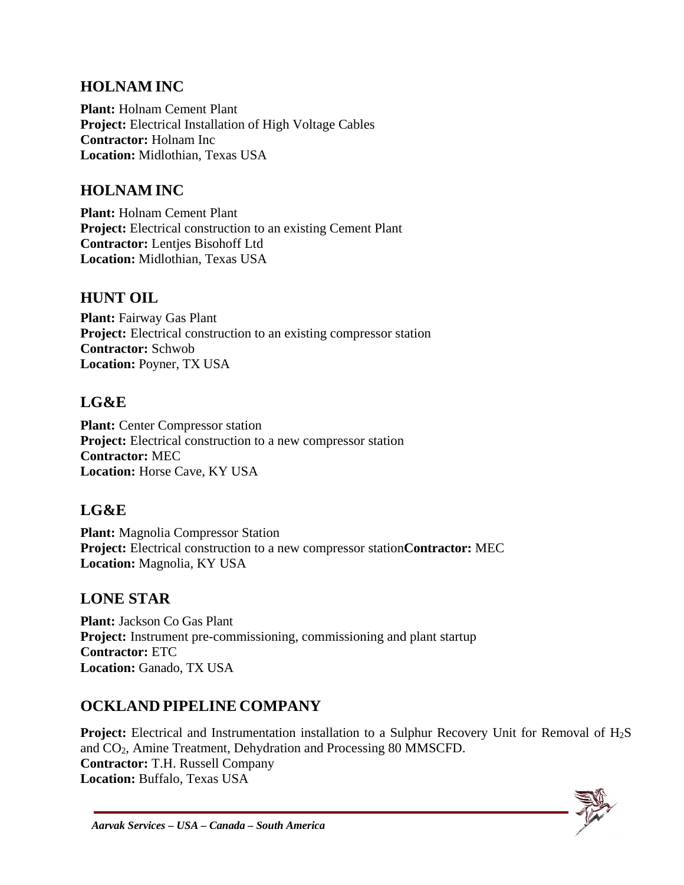#### **HOLNAM INC**

**Plant:** Holnam Cement Plant **Project:** Electrical Installation of High Voltage Cables **Contractor:** Holnam Inc **Location:** Midlothian, Texas USA

### **HOLNAM INC**

**Plant:** Holnam Cement Plant **Project:** Electrical construction to an existing Cement Plant **Contractor:** Lentjes Bisohoff Ltd **Location:** Midlothian, Texas USA

#### **HUNT OIL**

**Plant:** Fairway Gas Plant **Project:** Electrical construction to an existing compressor station **Contractor:** Schwob **Location:** Poyner, TX USA

#### **LG&E**

**Plant:** Center Compressor station **Project:** Electrical construction to a new compressor station **Contractor:** MEC **Location:** Horse Cave, KY USA

### **LG&E**

**Plant:** Magnolia Compressor Station **Project:** Electrical construction to a new compressor station**Contractor:** MEC **Location:** Magnolia, KY USA

### **LONE STAR**

**Plant:** Jackson Co Gas Plant **Project:** Instrument pre-commissioning, commissioning and plant startup **Contractor:** ETC **Location:** Ganado, TX USA

### **OCKLAND PIPELINE COMPANY**

**Project:** Electrical and Instrumentation installation to a Sulphur Recovery Unit for Removal of H<sub>2</sub>S and CO2, Amine Treatment, Dehydration and Processing 80 MMSCFD. **Contractor:** T.H. Russell Company **Location:** Buffalo, Texas USA

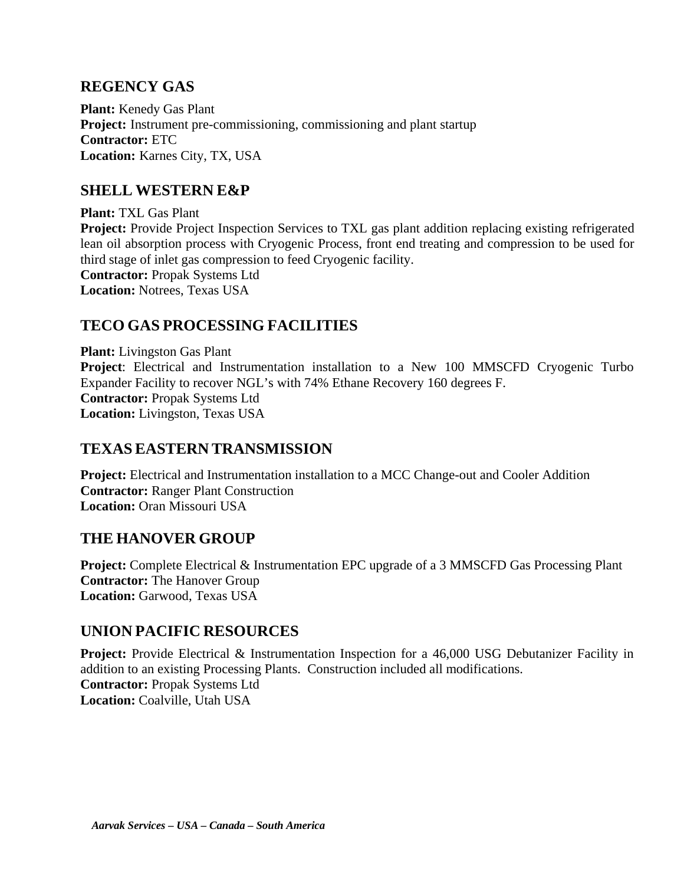#### **REGENCY GAS**

**Plant:** Kenedy Gas Plant **Project:** Instrument pre-commissioning, commissioning and plant startup **Contractor:** ETC **Location:** Karnes City, TX, USA

#### **SHELL WESTERN E&P**

**Plant:** TXL Gas Plant **Project:** Provide Project Inspection Services to TXL gas plant addition replacing existing refrigerated lean oil absorption process with Cryogenic Process, front end treating and compression to be used for third stage of inlet gas compression to feed Cryogenic facility. **Contractor:** Propak Systems Ltd **Location:** Notrees, Texas USA

#### **TECO GAS PROCESSING FACILITIES**

**Plant:** Livingston Gas Plant **Project**: Electrical and Instrumentation installation to a New 100 MMSCFD Cryogenic Turbo Expander Facility to recover NGL's with 74% Ethane Recovery 160 degrees F. **Contractor:** Propak Systems Ltd **Location:** Livingston, Texas USA

#### **TEXAS EASTERN TRANSMISSION**

**Project:** Electrical and Instrumentation installation to a MCC Change-out and Cooler Addition **Contractor:** Ranger Plant Construction **Location:** Oran Missouri USA

#### **THE HANOVER GROUP**

**Project:** Complete Electrical & Instrumentation EPC upgrade of a 3 MMSCFD Gas Processing Plant **Contractor:** The Hanover Group **Location:** Garwood, Texas USA

#### **UNION PACIFIC RESOURCES**

**Project:** Provide Electrical & Instrumentation Inspection for a 46,000 USG Debutanizer Facility in addition to an existing Processing Plants. Construction included all modifications. **Contractor:** Propak Systems Ltd **Location:** Coalville, Utah USA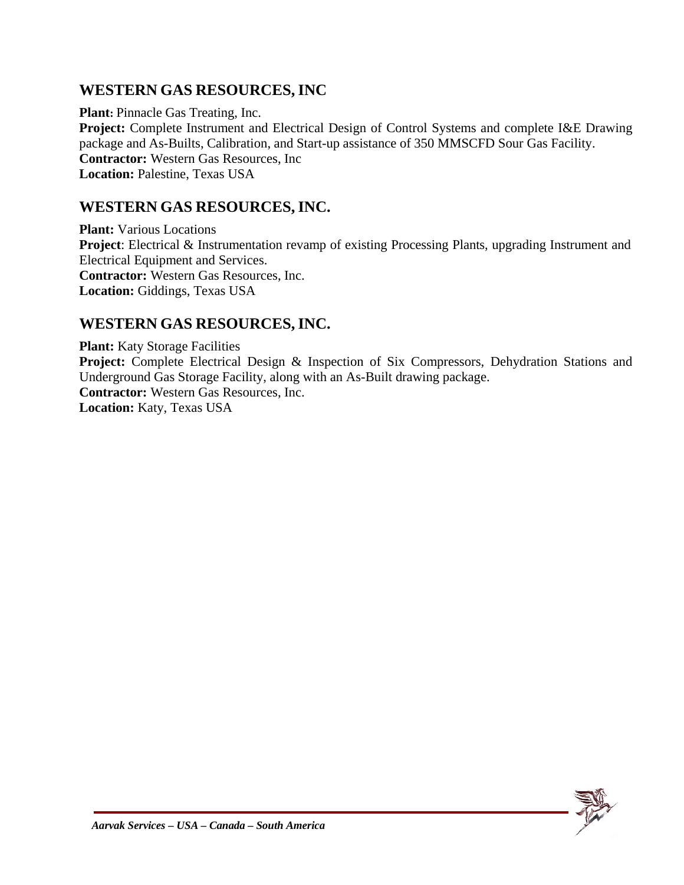#### **WESTERN GAS RESOURCES, INC**

**Plant:** Pinnacle Gas Treating, Inc. **Project:** Complete Instrument and Electrical Design of Control Systems and complete I&E Drawing package and As-Builts, Calibration, and Start-up assistance of 350 MMSCFD Sour Gas Facility. **Contractor:** Western Gas Resources, Inc **Location:** Palestine, Texas USA

#### **WESTERN GAS RESOURCES,INC.**

**Plant:** Various Locations **Project**: Electrical & Instrumentation revamp of existing Processing Plants, upgrading Instrument and Electrical Equipment and Services. **Contractor:** Western Gas Resources, Inc. **Location:** Giddings, Texas USA

#### **WESTERN GAS RESOURCES,INC.**

**Plant:** Katy Storage Facilities **Project:** Complete Electrical Design & Inspection of Six Compressors, Dehydration Stations and Underground Gas Storage Facility, along with an As-Built drawing package. **Contractor:** Western Gas Resources, Inc. **Location:** Katy, Texas USA

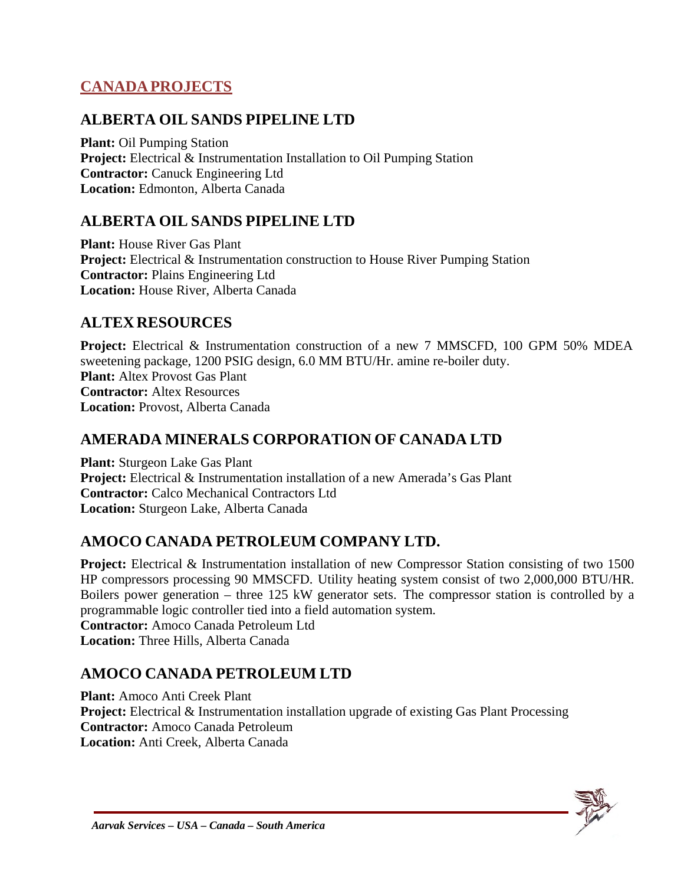## **CANADA PROJECTS**

#### **ALBERTA OIL SANDS PIPELINE LTD**

**Plant:** Oil Pumping Station **Project:** Electrical & Instrumentation Installation to Oil Pumping Station **Contractor:** Canuck Engineering Ltd **Location:** Edmonton, Alberta Canada

### **ALBERTA OIL SANDS PIPELINE LTD**

**Plant:** House River Gas Plant **Project:** Electrical & Instrumentation construction to House River Pumping Station **Contractor:** Plains Engineering Ltd **Location:** House River, Alberta Canada

#### **ALTEX RESOURCES**

**Project:** Electrical & Instrumentation construction of a new 7 MMSCFD, 100 GPM 50% MDEA sweetening package, 1200 PSIG design, 6.0 MM BTU/Hr. amine re-boiler duty. **Plant:** Altex Provost Gas Plant **Contractor:** Altex Resources **Location:** Provost, Alberta Canada

#### **AMERADA MINERALS CORPORATION OF CANADA LTD**

**Plant:** Sturgeon Lake Gas Plant **Project:** Electrical & Instrumentation installation of a new Amerada's Gas Plant **Contractor:** Calco Mechanical Contractors Ltd **Location:** Sturgeon Lake, Alberta Canada

### **AMOCO CANADA PETROLEUM COMPANY LTD.**

**Project:** Electrical & Instrumentation installation of new Compressor Station consisting of two 1500 HP compressors processing 90 MMSCFD. Utility heating system consist of two 2,000,000 BTU/HR. Boilers power generation – three 125 kW generator sets. The compressor station is controlled by a programmable logic controller tied into a field automation system.

**Contractor:** Amoco Canada Petroleum Ltd **Location:** Three Hills, Alberta Canada

### **AMOCO CANADA PETROLEUM LTD**

**Plant:** Amoco Anti Creek Plant **Project:** Electrical & Instrumentation installation upgrade of existing Gas Plant Processing **Contractor:** Amoco Canada Petroleum **Location:** Anti Creek, Alberta Canada

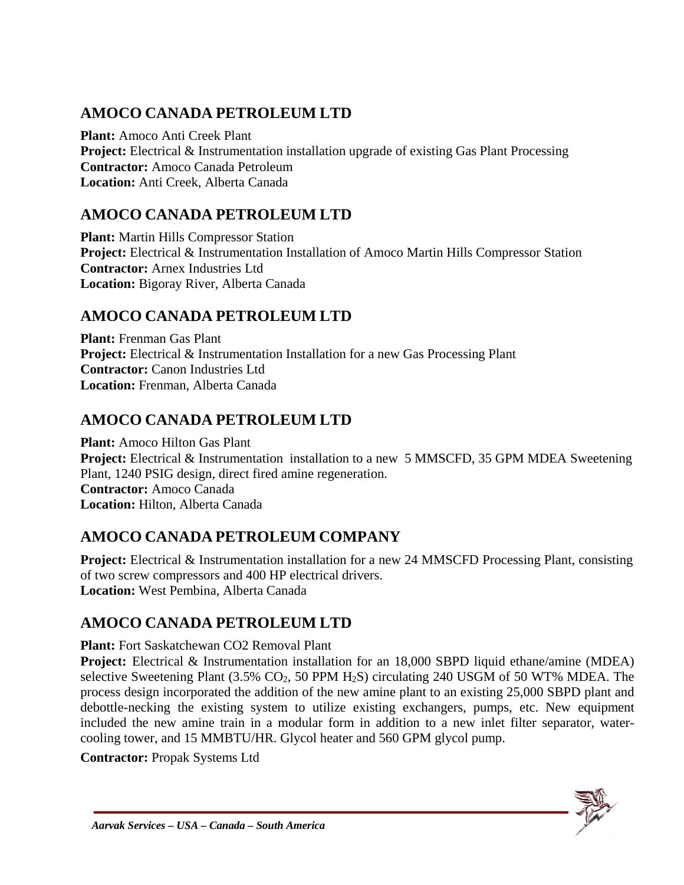## **AMOCO CANADA PETROLEUM LTD**

**Plant:** Amoco Anti Creek Plant **Project:** Electrical & Instrumentation installation upgrade of existing Gas Plant Processing **Contractor:** Amoco Canada Petroleum **Location:** Anti Creek, Alberta Canada

## **AMOCO CANADA PETROLEUM LTD**

**Plant:** Martin Hills Compressor Station **Project:** Electrical & Instrumentation Installation of Amoco Martin Hills Compressor Station **Contractor:** Arnex Industries Ltd **Location:** Bigoray River, Alberta Canada

## **AMOCO CANADA PETROLEUM LTD**

**Plant:** Frenman Gas Plant **Project:** Electrical & Instrumentation Installation for a new Gas Processing Plant **Contractor:** Canon Industries Ltd **Location:** Frenman, Alberta Canada

## **AMOCO CANADA PETROLEUM LTD**

**Plant:** Amoco Hilton Gas Plant **Project:** Electrical & Instrumentation installation to a new 5 MMSCFD, 35 GPM MDEA Sweetening Plant, 1240 PSIG design, direct fired amine regeneration. **Contractor:** Amoco Canada **Location:** Hilton, Alberta Canada

## **AMOCO CANADA PETROLEUM COMPANY**

**Project:** Electrical & Instrumentation installation for a new 24 MMSCFD Processing Plant, consisting of two screw compressors and 400 HP electrical drivers. **Location:** West Pembina, Alberta Canada

## **AMOCO CANADA PETROLEUM LTD**

**Plant:** Fort Saskatchewan CO2 Removal Plant

**Project:** Electrical & Instrumentation installation for an 18,000 SBPD liquid ethane/amine (MDEA) selective Sweetening Plant  $(3.5\%$  CO<sub>2</sub>, 50 PPM H<sub>2</sub>S) circulating 240 USGM of 50 WT% MDEA. The process design incorporated the addition of the new amine plant to an existing 25,000 SBPD plant and debottle-necking the existing system to utilize existing exchangers, pumps, etc. New equipment included the new amine train in a modular form in addition to a new inlet filter separator, watercooling tower, and 15 MMBTU/HR. Glycol heater and 560 GPM glycol pump.

**Contractor:** Propak Systems Ltd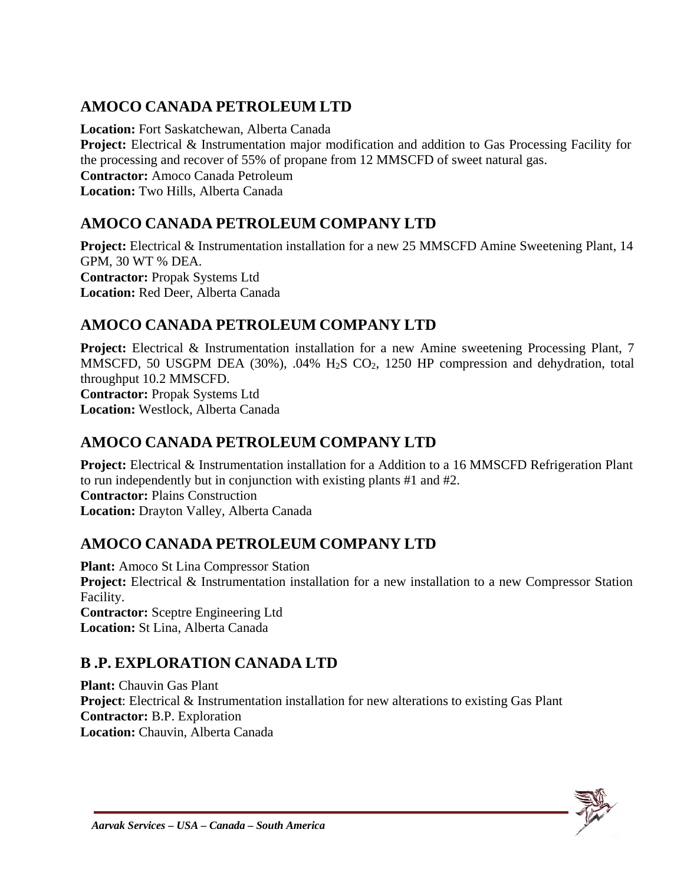## **AMOCO CANADA PETROLEUM LTD**

**Location:** Fort Saskatchewan, Alberta Canada **Project:** Electrical & Instrumentation major modification and addition to Gas Processing Facility for the processing and recover of 55% of propane from 12 MMSCFD of sweet natural gas. **Contractor:** Amoco Canada Petroleum **Location:** Two Hills, Alberta Canada

## **AMOCO CANADA PETROLEUM COMPANY LTD**

**Project:** Electrical & Instrumentation installation for a new 25 MMSCFD Amine Sweetening Plant, 14 GPM, 30 WT % DEA. **Contractor:** Propak Systems Ltd **Location:** Red Deer, Alberta Canada

## **AMOCO CANADA PETROLEUM COMPANY LTD**

**Project:** Electrical & Instrumentation installation for a new Amine sweetening Processing Plant, 7 MMSCFD, 50 USGPM DEA (30%),  $.04\%$  H<sub>2</sub>S CO<sub>2</sub>, 1250 HP compression and dehydration, total throughput 10.2 MMSCFD. **Contractor:** Propak Systems Ltd **Location:** Westlock, Alberta Canada

## **AMOCO CANADA PETROLEUM COMPANY LTD**

**Project:** Electrical & Instrumentation installation for a Addition to a 16 MMSCFD Refrigeration Plant to run independently but in conjunction with existing plants #1 and #2. **Contractor:** Plains Construction **Location:** Drayton Valley, Alberta Canada

## **AMOCO CANADA PETROLEUM COMPANY LTD**

**Plant:** Amoco St Lina Compressor Station **Project:** Electrical & Instrumentation installation for a new installation to a new Compressor Station Facility. **Contractor:** Sceptre Engineering Ltd **Location:** St Lina, Alberta Canada

## **B .P. EXPLORATION CANADA LTD**

**Plant:** Chauvin Gas Plant **Project**: Electrical & Instrumentation installation for new alterations to existing Gas Plant **Contractor:** B.P. Exploration **Location:** Chauvin, Alberta Canada

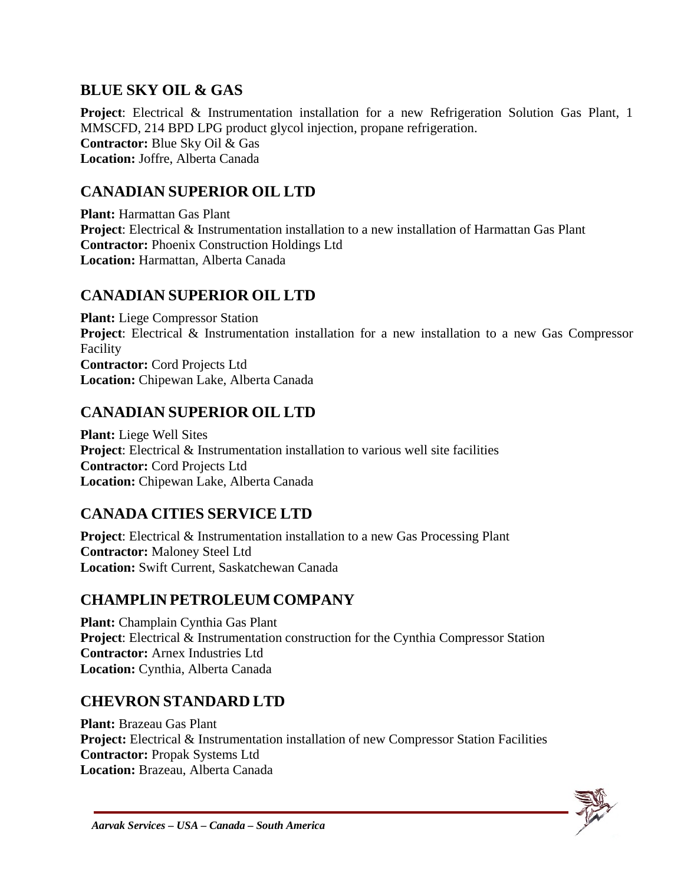### **BLUE SKY OIL & GAS**

**Project**: Electrical & Instrumentation installation for a new Refrigeration Solution Gas Plant, 1 MMSCFD, 214 BPD LPG product glycol injection, propane refrigeration. **Contractor:** Blue Sky Oil & Gas **Location:** Joffre, Alberta Canada

#### **CANADIAN SUPERIOR OIL LTD**

**Plant:** Harmattan Gas Plant **Project**: Electrical & Instrumentation installation to a new installation of Harmattan Gas Plant **Contractor:** Phoenix Construction Holdings Ltd **Location:** Harmattan, Alberta Canada

#### **CANADIAN SUPERIOR OIL LTD**

**Plant:** Liege Compressor Station **Project**: Electrical & Instrumentation installation for a new installation to a new Gas Compressor Facility **Contractor:** Cord Projects Ltd **Location:** Chipewan Lake, Alberta Canada

#### **CANADIAN SUPERIOR OIL LTD**

**Plant:** Liege Well Sites **Project**: Electrical & Instrumentation installation to various well site facilities **Contractor:** Cord Projects Ltd **Location:** Chipewan Lake, Alberta Canada

### **CANADA CITIES SERVICE LTD**

**Project**: Electrical & Instrumentation installation to a new Gas Processing Plant **Contractor:** Maloney Steel Ltd **Location:** Swift Current, Saskatchewan Canada

### **CHAMPLIN PETROLEUM COMPANY**

**Plant:** Champlain Cynthia Gas Plant **Project:** Electrical & Instrumentation construction for the Cynthia Compressor Station **Contractor:** Arnex Industries Ltd **Location:** Cynthia, Alberta Canada

### **CHEVRON STANDARD LTD**

**Plant:** Brazeau Gas Plant **Project:** Electrical & Instrumentation installation of new Compressor Station Facilities **Contractor:** Propak Systems Ltd **Location:** Brazeau, Alberta Canada

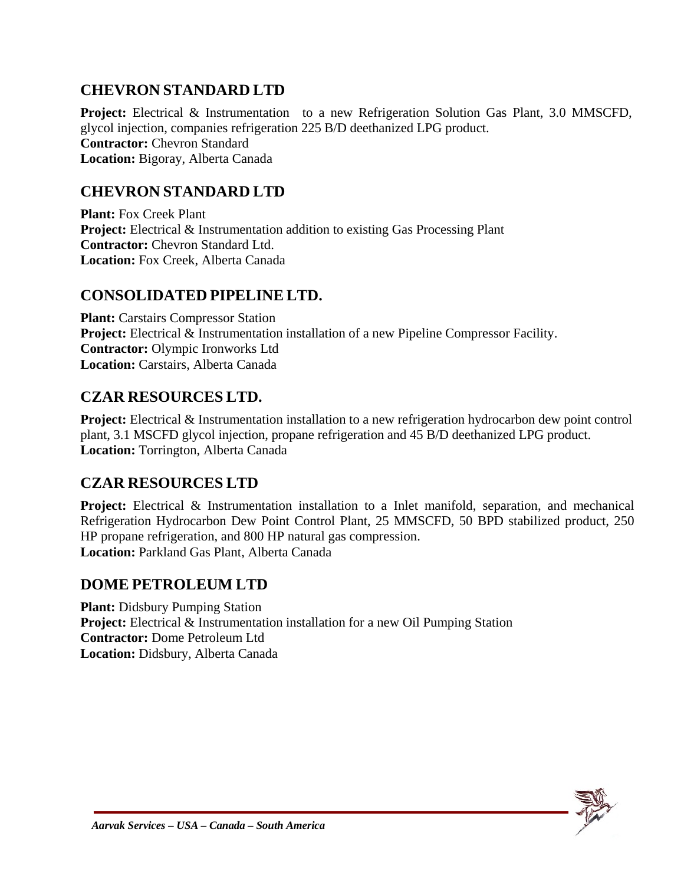### **CHEVRON STANDARD LTD**

**Project:** Electrical & Instrumentation to a new Refrigeration Solution Gas Plant, 3.0 MMSCFD, glycol injection, companies refrigeration 225 B/D deethanized LPG product. **Contractor:** Chevron Standard **Location:** Bigoray, Alberta Canada

#### **CHEVRON STANDARD LTD**

**Plant:** Fox Creek Plant **Project:** Electrical & Instrumentation addition to existing Gas Processing Plant **Contractor:** Chevron Standard Ltd. **Location:** Fox Creek, Alberta Canada

#### **CONSOLIDATED PIPELINE LTD.**

**Plant:** Carstairs Compressor Station **Project:** Electrical & Instrumentation installation of a new Pipeline Compressor Facility. **Contractor:** Olympic Ironworks Ltd **Location:** Carstairs, Alberta Canada

#### **CZAR RESOURCES LTD.**

**Project:** Electrical & Instrumentation installation to a new refrigeration hydrocarbon dew point control plant, 3.1 MSCFD glycol injection, propane refrigeration and 45 B/D deethanized LPG product. **Location:** Torrington, Alberta Canada

#### **CZAR RESOURCES LTD**

**Project:** Electrical & Instrumentation installation to a Inlet manifold, separation, and mechanical Refrigeration Hydrocarbon Dew Point Control Plant, 25 MMSCFD, 50 BPD stabilized product, 250 HP propane refrigeration, and 800 HP natural gas compression. **Location:** Parkland Gas Plant, Alberta Canada

### **DOME PETROLEUM LTD**

**Plant:** Didsbury Pumping Station **Project:** Electrical & Instrumentation installation for a new Oil Pumping Station **Contractor:** Dome Petroleum Ltd **Location:** Didsbury, Alberta Canada

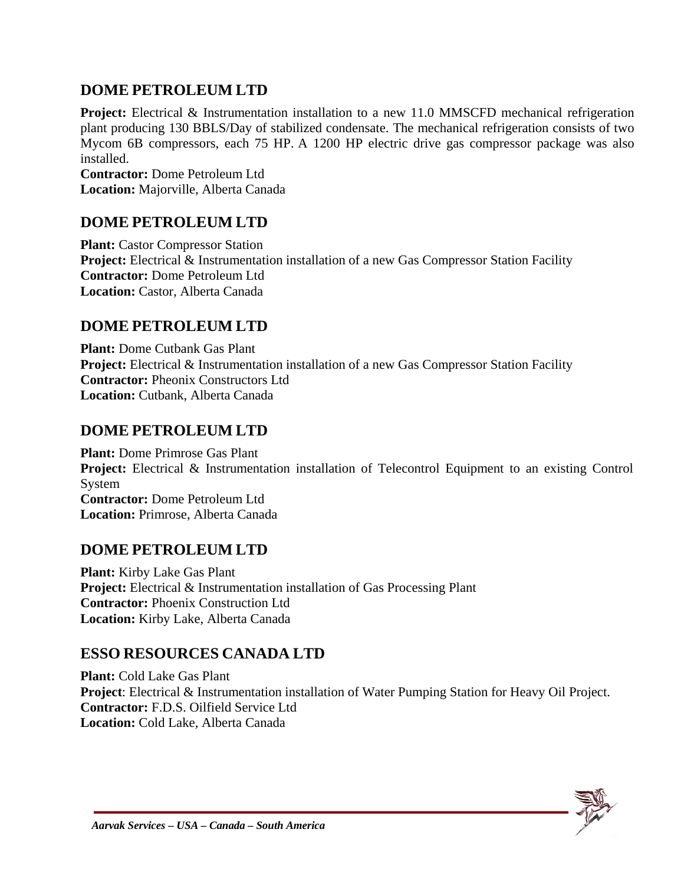#### **DOME PETROLEUM LTD**

**Project:** Electrical & Instrumentation installation to a new 11.0 MMSCFD mechanical refrigeration plant producing 130 BBLS/Day of stabilized condensate. The mechanical refrigeration consists of two Mycom 6B compressors, each 75 HP. A 1200 HP electric drive gas compressor package was also installed.

**Contractor:** Dome Petroleum Ltd **Location:** Majorville, Alberta Canada

## **DOME PETROLEUM LTD**

**Plant:** Castor Compressor Station **Project:** Electrical & Instrumentation installation of a new Gas Compressor Station Facility **Contractor:** Dome Petroleum Ltd **Location:** Castor, Alberta Canada

### **DOME PETROLEUM LTD**

**Plant:** Dome Cutbank Gas Plant **Project:** Electrical & Instrumentation installation of a new Gas Compressor Station Facility **Contractor:** Pheonix Constructors Ltd **Location:** Cutbank, Alberta Canada

#### **DOME PETROLEUM LTD**

**Plant:** Dome Primrose Gas Plant **Project:** Electrical & Instrumentation installation of Telecontrol Equipment to an existing Control System **Contractor:** Dome Petroleum Ltd **Location:** Primrose, Alberta Canada

#### **DOME PETROLEUM LTD**

**Plant:** Kirby Lake Gas Plant **Project:** Electrical & Instrumentation installation of Gas Processing Plant **Contractor:** Phoenix Construction Ltd **Location:** Kirby Lake, Alberta Canada

### **ESSO RESOURCES CANADA LTD**

**Plant:** Cold Lake Gas Plant **Project**: Electrical & Instrumentation installation of Water Pumping Station for Heavy Oil Project. **Contractor:** F.D.S. Oilfield Service Ltd **Location:** Cold Lake, Alberta Canada

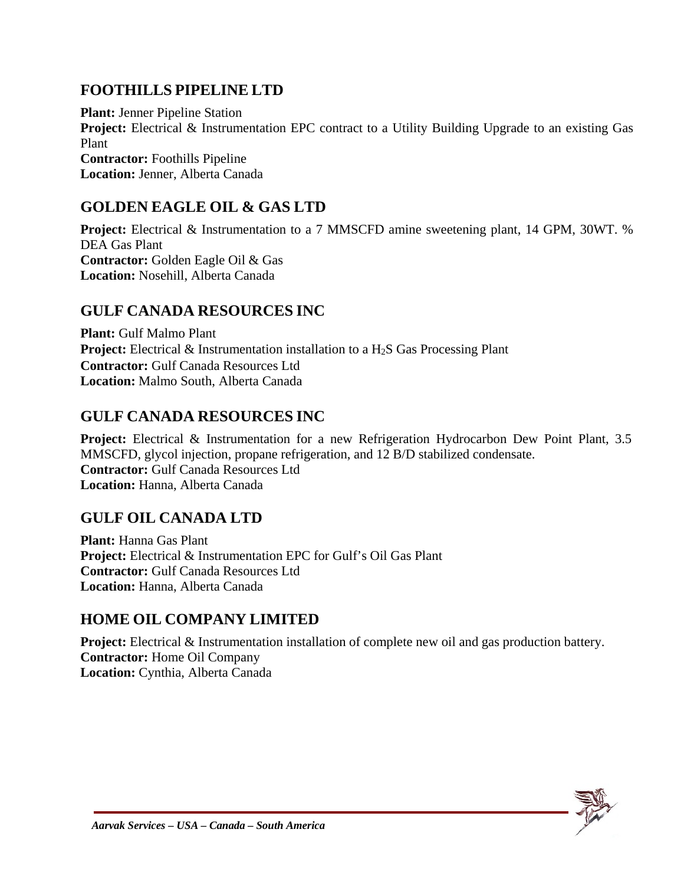### **FOOTHILLS PIPELINE LTD**

**Plant:** Jenner Pipeline Station **Project:** Electrical & Instrumentation EPC contract to a Utility Building Upgrade to an existing Gas Plant **Contractor:** Foothills Pipeline **Location:** Jenner, Alberta Canada

#### **GOLDEN EAGLE OIL & GAS LTD**

**Project:** Electrical & Instrumentation to a 7 MMSCFD amine sweetening plant, 14 GPM, 30WT. % DEA Gas Plant **Contractor:** Golden Eagle Oil & Gas **Location:** Nosehill, Alberta Canada

#### **GULF CANADA RESOURCES INC**

**Plant:** Gulf Malmo Plant **Project:** Electrical & Instrumentation installation to a H<sub>2</sub>S Gas Processing Plant **Contractor:** Gulf Canada Resources Ltd **Location:** Malmo South, Alberta Canada

#### **GULF CANADA RESOURCES INC**

**Project:** Electrical & Instrumentation for a new Refrigeration Hydrocarbon Dew Point Plant, 3.5 MMSCFD, glycol injection, propane refrigeration, and 12 B/D stabilized condensate. **Contractor:** Gulf Canada Resources Ltd **Location:** Hanna, Alberta Canada

### **GULF OIL CANADA LTD**

**Plant:** Hanna Gas Plant **Project:** Electrical & Instrumentation EPC for Gulf's Oil Gas Plant **Contractor:** Gulf Canada Resources Ltd **Location:** Hanna, Alberta Canada

### **HOME OIL COMPANY LIMITED**

**Project:** Electrical & Instrumentation installation of complete new oil and gas production battery. **Contractor:** Home Oil Company **Location:** Cynthia, Alberta Canada

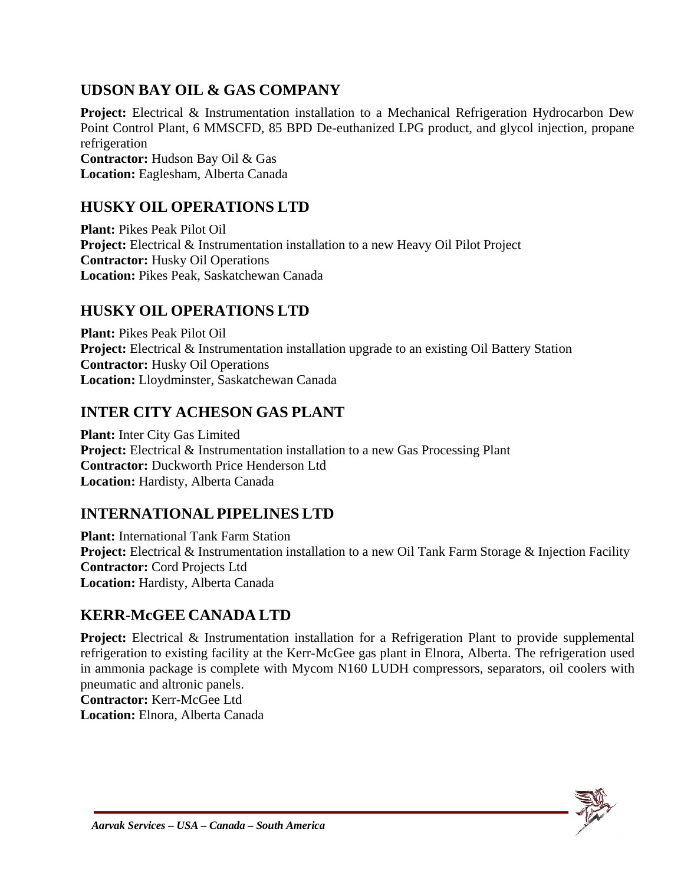## **UDSON BAY OIL & GAS COMPANY**

**Project:** Electrical & Instrumentation installation to a Mechanical Refrigeration Hydrocarbon Dew Point Control Plant, 6 MMSCFD, 85 BPD De-euthanized LPG product, and glycol injection, propane refrigeration **Contractor:** Hudson Bay Oil & Gas **Location:** Eaglesham, Alberta Canada

### **HUSKY OIL OPERATIONS LTD**

**Plant:** Pikes Peak Pilot Oil **Project:** Electrical & Instrumentation installation to a new Heavy Oil Pilot Project **Contractor:** Husky Oil Operations **Location:** Pikes Peak, Saskatchewan Canada

### **HUSKY OIL OPERATIONS LTD**

**Plant:** Pikes Peak Pilot Oil **Project:** Electrical & Instrumentation installation upgrade to an existing Oil Battery Station **Contractor:** Husky Oil Operations **Location:** Lloydminster, Saskatchewan Canada

### **INTER CITY ACHESON GAS PLANT**

**Plant:** Inter City Gas Limited **Project:** Electrical & Instrumentation installation to a new Gas Processing Plant **Contractor:** Duckworth Price Henderson Ltd **Location:** Hardisty, Alberta Canada

## **INTERNATIONALPIPELINES LTD**

**Plant:** International Tank Farm Station **Project:** Electrical & Instrumentation installation to a new Oil Tank Farm Storage & Injection Facility **Contractor:** Cord Projects Ltd **Location:** Hardisty, Alberta Canada

## **KERR-McGEE CANADA LTD**

**Project:** Electrical & Instrumentation installation for a Refrigeration Plant to provide supplemental refrigeration to existing facility at the Kerr-McGee gas plant in Elnora, Alberta. The refrigeration used in ammonia package is complete with Mycom N160 LUDH compressors, separators, oil coolers with pneumatic and altronic panels.

**Contractor:** Kerr-McGee Ltd

**Location:** Elnora, Alberta Canada

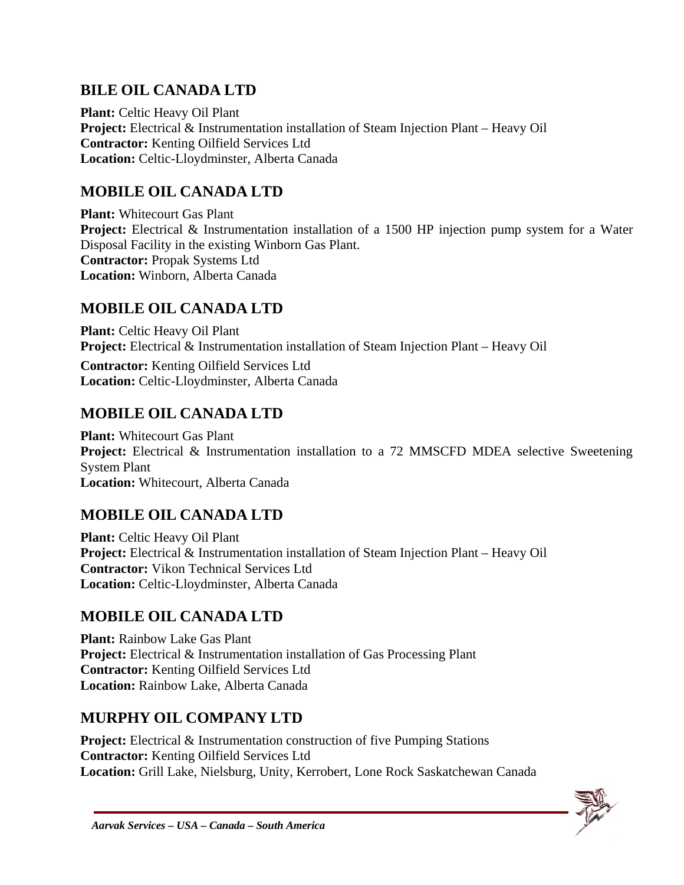## **BILE OIL CANADA LTD**

**Plant:** Celtic Heavy Oil Plant **Project:** Electrical & Instrumentation installation of Steam Injection Plant – Heavy Oil **Contractor:** Kenting Oilfield Services Ltd **Location:** Celtic-Lloydminster, Alberta Canada

## **MOBILE OIL CANADA LTD**

**Plant:** Whitecourt Gas Plant **Project:** Electrical & Instrumentation installation of a 1500 HP injection pump system for a Water Disposal Facility in the existing Winborn Gas Plant. **Contractor:** Propak Systems Ltd **Location:** Winborn, Alberta Canada

## **MOBILE OIL CANADA LTD**

**Plant:** Celtic Heavy Oil Plant **Project:** Electrical & Instrumentation installation of Steam Injection Plant – Heavy Oil

**Contractor:** Kenting Oilfield Services Ltd **Location:** Celtic-Lloydminster, Alberta Canada

## **MOBILE OIL CANADA LTD**

**Plant:** Whitecourt Gas Plant **Project:** Electrical & Instrumentation installation to a 72 MMSCFD MDEA selective Sweetening System Plant **Location:** Whitecourt, Alberta Canada

## **MOBILE OIL CANADA LTD**

**Plant:** Celtic Heavy Oil Plant **Project:** Electrical & Instrumentation installation of Steam Injection Plant – Heavy Oil **Contractor:** Vikon Technical Services Ltd **Location:** Celtic-Lloydminster, Alberta Canada

## **MOBILE OIL CANADA LTD**

**Plant:** Rainbow Lake Gas Plant **Project:** Electrical & Instrumentation installation of Gas Processing Plant **Contractor:** Kenting Oilfield Services Ltd **Location:** Rainbow Lake, Alberta Canada

## **MURPHY OIL COMPANY LTD**

**Project:** Electrical & Instrumentation construction of five Pumping Stations **Contractor:** Kenting Oilfield Services Ltd **Location:** Grill Lake, Nielsburg, Unity, Kerrobert, Lone Rock Saskatchewan Canada

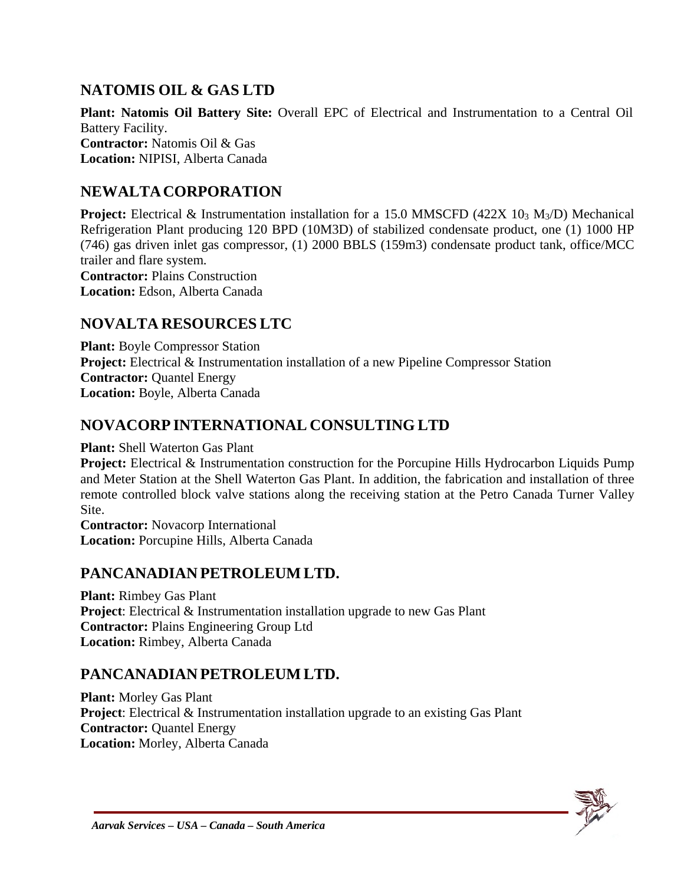### **NATOMIS OIL & GAS LTD**

**Plant: Natomis Oil Battery Site:** Overall EPC of Electrical and Instrumentation to a Central Oil Battery Facility. **Contractor:** Natomis Oil & Gas **Location:** NIPISI, Alberta Canada

#### **NEWALTACORPORATION**

**Project:** Electrical & Instrumentation installation for a 15.0 MMSCFD (422X 10<sub>3</sub> M<sub>3</sub>/D) Mechanical Refrigeration Plant producing 120 BPD (10M3D) of stabilized condensate product, one (1) 1000 HP (746) gas driven inlet gas compressor, (1) 2000 BBLS (159m3) condensate product tank, office/MCC trailer and flare system. **Contractor:** Plains Construction

**Location:** Edson, Alberta Canada

#### **NOVALTA RESOURCES LTC**

**Plant:** Boyle Compressor Station **Project:** Electrical & Instrumentation installation of a new Pipeline Compressor Station **Contractor: Ouantel Energy Location:** Boyle, Alberta Canada

#### **NOVACORP INTERNATIONAL CONSULTING LTD**

**Plant:** Shell Waterton Gas Plant

**Project:** Electrical & Instrumentation construction for the Porcupine Hills Hydrocarbon Liquids Pump and Meter Station at the Shell Waterton Gas Plant. In addition, the fabrication and installation of three remote controlled block valve stations along the receiving station at the Petro Canada Turner Valley Site.

**Contractor:** Novacorp International **Location:** Porcupine Hills, Alberta Canada

#### **PANCANADIAN PETROLEUM LTD.**

**Plant:** Rimbey Gas Plant **Project**: Electrical & Instrumentation installation upgrade to new Gas Plant **Contractor:** Plains Engineering Group Ltd **Location:** Rimbey, Alberta Canada

### **PANCANADIAN PETROLEUM LTD.**

**Plant:** Morley Gas Plant **Project**: Electrical & Instrumentation installation upgrade to an existing Gas Plant **Contractor: Quantel Energy Location:** Morley, Alberta Canada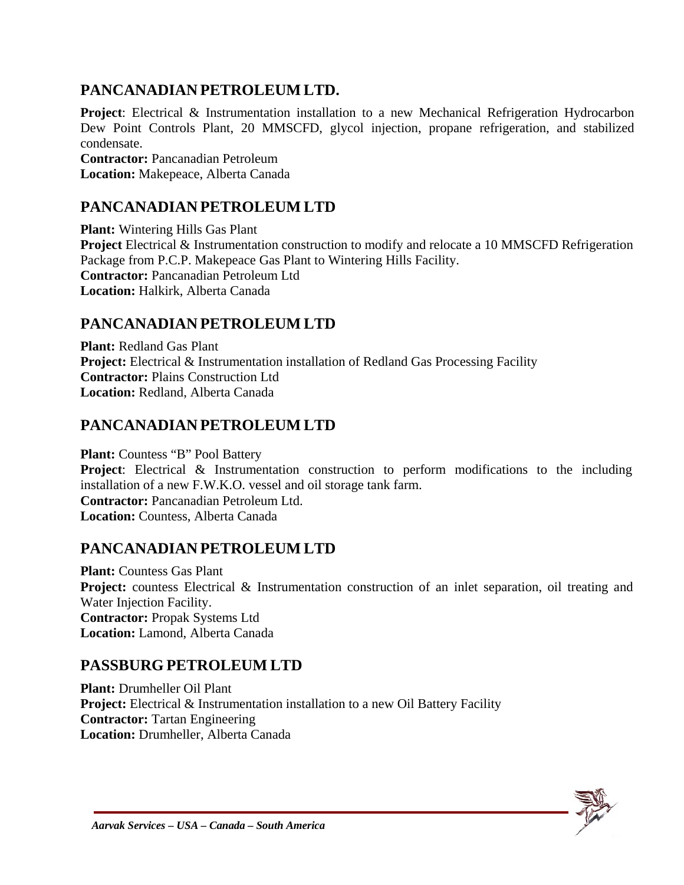### **PANCANADIAN PETROLEUM LTD.**

**Project**: Electrical & Instrumentation installation to a new Mechanical Refrigeration Hydrocarbon Dew Point Controls Plant, 20 MMSCFD, glycol injection, propane refrigeration, and stabilized condensate. **Contractor:** Pancanadian Petroleum **Location:** Makepeace, Alberta Canada

#### **PANCANADIAN PETROLEUM LTD**

**Plant:** Wintering Hills Gas Plant **Project** Electrical & Instrumentation construction to modify and relocate a 10 MMSCFD Refrigeration Package from P.C.P. Makepeace Gas Plant to Wintering Hills Facility. **Contractor:** Pancanadian Petroleum Ltd **Location:** Halkirk, Alberta Canada

#### **PANCANADIAN PETROLEUM LTD**

**Plant:** Redland Gas Plant **Project:** Electrical & Instrumentation installation of Redland Gas Processing Facility **Contractor:** Plains Construction Ltd **Location:** Redland, Alberta Canada

#### **PANCANADIAN PETROLEUM LTD**

**Plant:** Countess "B" Pool Battery **Project**: Electrical & Instrumentation construction to perform modifications to the including installation of a new F.W.K.O. vessel and oil storage tank farm. **Contractor:** Pancanadian Petroleum Ltd. **Location:** Countess, Alberta Canada

### **PANCANADIAN PETROLEUM LTD**

**Plant:** Countess Gas Plant **Project:** countess Electrical & Instrumentation construction of an inlet separation, oil treating and Water Injection Facility. **Contractor:** Propak Systems Ltd **Location:** Lamond, Alberta Canada

#### **PASSBURG PETROLEUM LTD**

**Plant:** Drumheller Oil Plant **Project:** Electrical & Instrumentation installation to a new Oil Battery Facility **Contractor:** Tartan Engineering **Location:** Drumheller, Alberta Canada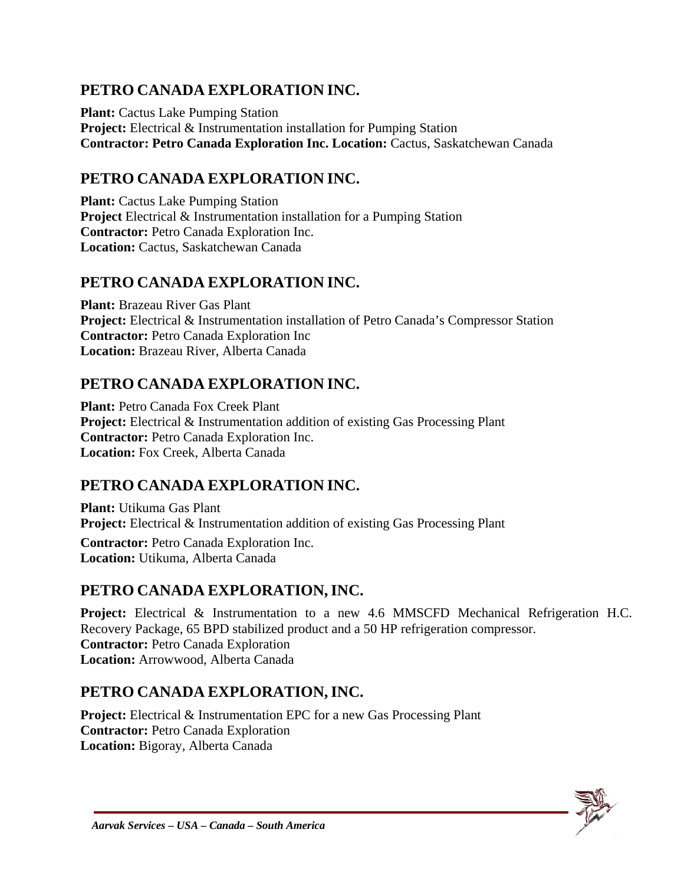## **PETRO CANADA EXPLORATION INC.**

**Plant:** Cactus Lake Pumping Station **Project:** Electrical & Instrumentation installation for Pumping Station **Contractor: Petro Canada Exploration Inc. Location:** Cactus, Saskatchewan Canada

## **PETRO CANADA EXPLORATION INC.**

**Plant:** Cactus Lake Pumping Station **Project** Electrical & Instrumentation installation for a Pumping Station **Contractor:** Petro Canada Exploration Inc. **Location:** Cactus, Saskatchewan Canada

## **PETRO CANADA EXPLORATION INC.**

**Plant:** Brazeau River Gas Plant **Project:** Electrical & Instrumentation installation of Petro Canada's Compressor Station **Contractor:** Petro Canada Exploration Inc **Location:** Brazeau River, Alberta Canada

## **PETRO CANADA EXPLORATION INC.**

**Plant:** Petro Canada Fox Creek Plant **Project:** Electrical & Instrumentation addition of existing Gas Processing Plant **Contractor:** Petro Canada Exploration Inc. **Location:** Fox Creek, Alberta Canada

## **PETRO CANADA EXPLORATION INC.**

**Plant:** Utikuma Gas Plant **Project:** Electrical & Instrumentation addition of existing Gas Processing Plant **Contractor:** Petro Canada Exploration Inc.

**Location:** Utikuma, Alberta Canada

## **PETRO CANADA EXPLORATION,INC.**

**Project:** Electrical & Instrumentation to a new 4.6 MMSCFD Mechanical Refrigeration H.C. Recovery Package, 65 BPD stabilized product and a 50 HP refrigeration compressor. **Contractor:** Petro Canada Exploration **Location:** Arrowwood, Alberta Canada

## **PETRO CANADA EXPLORATION,INC.**

**Project:** Electrical & Instrumentation EPC for a new Gas Processing Plant **Contractor:** Petro Canada Exploration **Location:** Bigoray, Alberta Canada

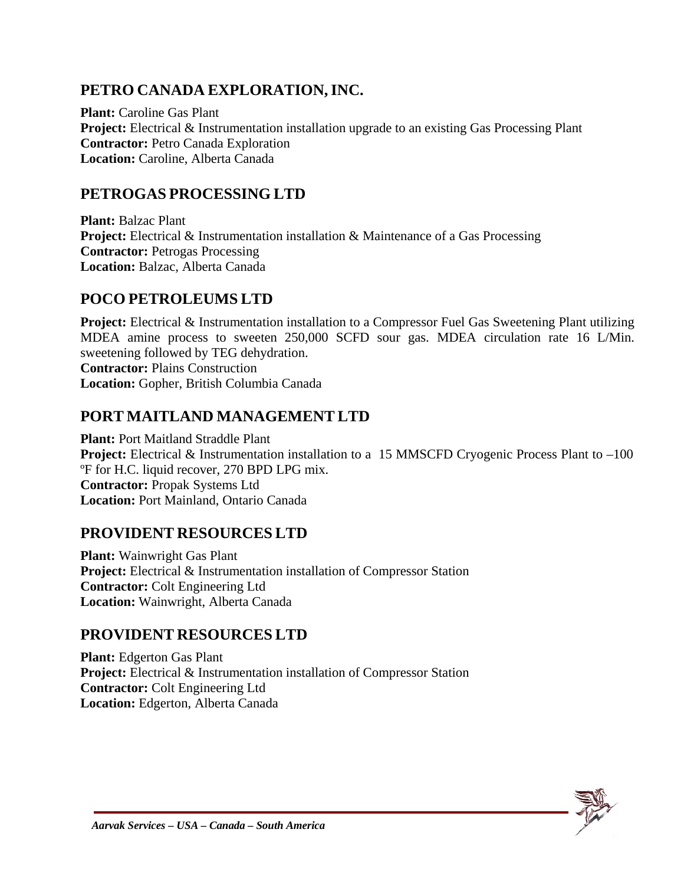## **PETRO CANADA EXPLORATION,INC.**

**Plant:** Caroline Gas Plant **Project:** Electrical & Instrumentation installation upgrade to an existing Gas Processing Plant **Contractor:** Petro Canada Exploration **Location:** Caroline, Alberta Canada

#### **PETROGAS PROCESSING LTD**

**Plant:** Balzac Plant **Project:** Electrical & Instrumentation installation & Maintenance of a Gas Processing **Contractor:** Petrogas Processing **Location:** Balzac, Alberta Canada

#### **POCO PETROLEUMS LTD**

**Project:** Electrical & Instrumentation installation to a Compressor Fuel Gas Sweetening Plant utilizing MDEA amine process to sweeten 250,000 SCFD sour gas. MDEA circulation rate 16 L/Min. sweetening followed by TEG dehydration. **Contractor:** Plains Construction

**Location:** Gopher, British Columbia Canada

#### **PORT MAITLAND MANAGEMENT LTD**

**Plant:** Port Maitland Straddle Plant **Project:** Electrical & Instrumentation installation to a 15 MMSCFD Cryogenic Process Plant to –100 ºF for H.C. liquid recover, 270 BPD LPG mix. **Contractor:** Propak Systems Ltd **Location:** Port Mainland, Ontario Canada

#### **PROVIDENT RESOURCES LTD**

**Plant:** Wainwright Gas Plant **Project:** Electrical & Instrumentation installation of Compressor Station **Contractor:** Colt Engineering Ltd **Location:** Wainwright, Alberta Canada

#### **PROVIDENT RESOURCES LTD**

**Plant:** Edgerton Gas Plant **Project:** Electrical & Instrumentation installation of Compressor Station **Contractor:** Colt Engineering Ltd **Location:** Edgerton, Alberta Canada

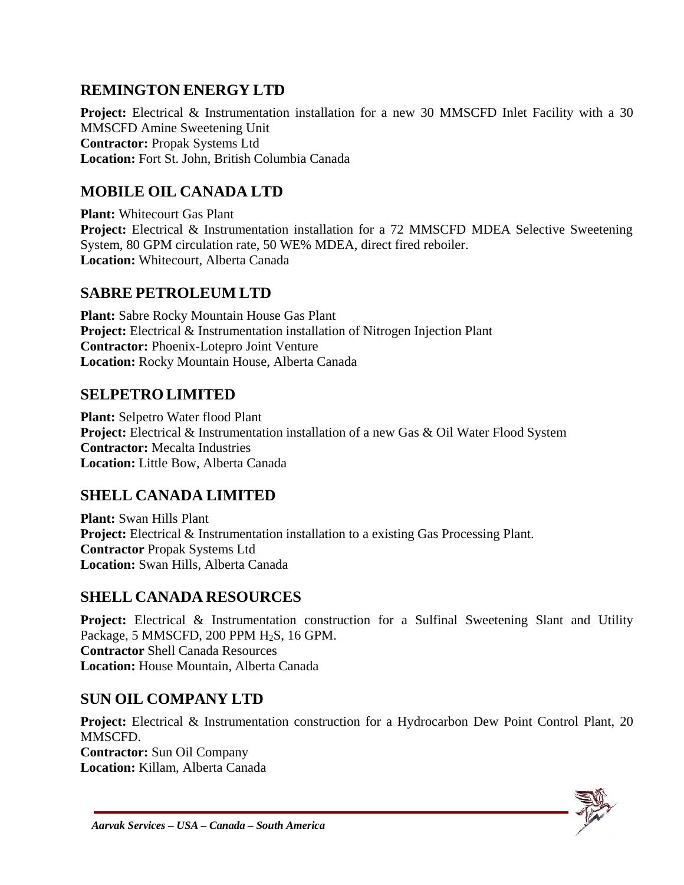### **REMINGTON ENERGY LTD**

**Project:** Electrical & Instrumentation installation for a new 30 MMSCFD Inlet Facility with a 30 MMSCFD Amine Sweetening Unit **Contractor:** Propak Systems Ltd **Location:** Fort St. John, British Columbia Canada

### **MOBILE OIL CANADA LTD**

**Plant:** Whitecourt Gas Plant **Project:** Electrical & Instrumentation installation for a 72 MMSCFD MDEA Selective Sweetening System, 80 GPM circulation rate, 50 WE% MDEA, direct fired reboiler. **Location:** Whitecourt, Alberta Canada

#### **SABRE PETROLEUM LTD**

**Plant:** Sabre Rocky Mountain House Gas Plant **Project:** Electrical & Instrumentation installation of Nitrogen Injection Plant **Contractor:** Phoenix-Lotepro Joint Venture **Location:** Rocky Mountain House, Alberta Canada

#### **SELPETROLIMITED**

**Plant:** Selpetro Water flood Plant **Project:** Electrical & Instrumentation installation of a new Gas & Oil Water Flood System **Contractor:** Mecalta Industries **Location:** Little Bow, Alberta Canada

### **SHELL CANADA LIMITED**

**Plant:** Swan Hills Plant **Project:** Electrical & Instrumentation installation to a existing Gas Processing Plant. **Contractor** Propak Systems Ltd **Location:** Swan Hills, Alberta Canada

#### **SHELL CANADA RESOURCES**

**Project:** Electrical & Instrumentation construction for a Sulfinal Sweetening Slant and Utility Package, 5 MMSCFD, 200 PPM H<sub>2</sub>S, 16 GPM. **Contractor** Shell Canada Resources **Location:** House Mountain, Alberta Canada

#### **SUN OIL COMPANY LTD**

**Project:** Electrical & Instrumentation construction for a Hydrocarbon Dew Point Control Plant, 20 MMSCFD. **Contractor:** Sun Oil Company **Location:** Killam, Alberta Canada

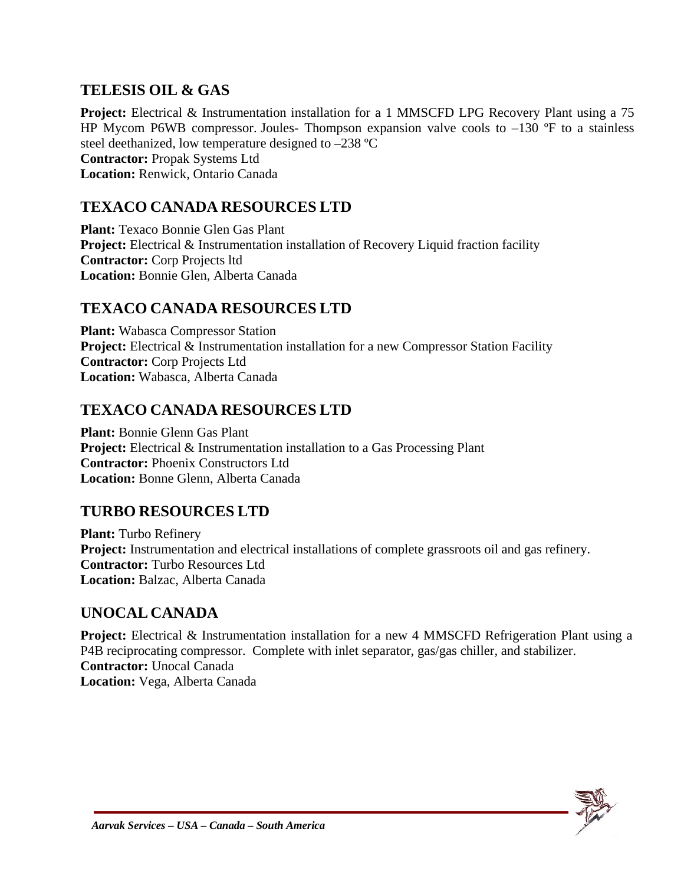### **TELESIS OIL & GAS**

**Project:** Electrical & Instrumentation installation for a 1 MMSCFD LPG Recovery Plant using a 75 HP Mycom P6WB compressor. Joules- Thompson expansion valve cools to  $-130$  °F to a stainless steel deethanized, low temperature designed to –238 ºC **Contractor:** Propak Systems Ltd **Location:** Renwick, Ontario Canada

#### **TEXACO CANADA RESOURCES LTD**

**Plant:** Texaco Bonnie Glen Gas Plant **Project:** Electrical & Instrumentation installation of Recovery Liquid fraction facility **Contractor:** Corp Projects ltd **Location:** Bonnie Glen, Alberta Canada

#### **TEXACO CANADA RESOURCES LTD**

**Plant:** Wabasca Compressor Station **Project:** Electrical & Instrumentation installation for a new Compressor Station Facility **Contractor:** Corp Projects Ltd **Location:** Wabasca, Alberta Canada

#### **TEXACO CANADA RESOURCES LTD**

**Plant:** Bonnie Glenn Gas Plant **Project:** Electrical & Instrumentation installation to a Gas Processing Plant **Contractor:** Phoenix Constructors Ltd **Location:** Bonne Glenn, Alberta Canada

### **TURBO RESOURCES LTD**

**Plant:** Turbo Refinery **Project:** Instrumentation and electrical installations of complete grassroots oil and gas refinery. **Contractor:** Turbo Resources Ltd **Location:** Balzac, Alberta Canada

#### **UNOCAL CANADA**

**Project:** Electrical & Instrumentation installation for a new 4 MMSCFD Refrigeration Plant using a P4B reciprocating compressor. Complete with inlet separator, gas/gas chiller, and stabilizer. **Contractor:** Unocal Canada **Location:** Vega, Alberta Canada

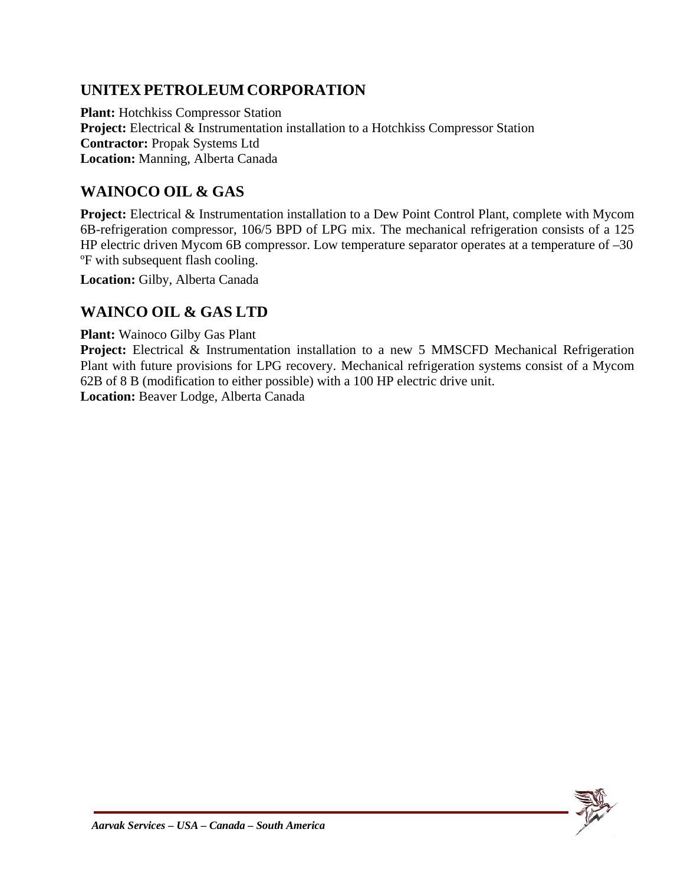## **UNITEX PETROLEUM CORPORATION**

**Plant:** Hotchkiss Compressor Station **Project:** Electrical & Instrumentation installation to a Hotchkiss Compressor Station **Contractor:** Propak Systems Ltd **Location:** Manning, Alberta Canada

## **WAINOCO OIL & GAS**

**Project:** Electrical & Instrumentation installation to a Dew Point Control Plant, complete with Mycom 6B-refrigeration compressor, 106/5 BPD of LPG mix. The mechanical refrigeration consists of a 125 HP electric driven Mycom 6B compressor. Low temperature separator operates at a temperature of  $-30$ ºF with subsequent flash cooling.

**Location:** Gilby, Alberta Canada

### **WAINCO OIL & GAS LTD**

**Plant:** Wainoco Gilby Gas Plant

**Project:** Electrical & Instrumentation installation to a new 5 MMSCFD Mechanical Refrigeration Plant with future provisions for LPG recovery. Mechanical refrigeration systems consist of a Mycom 62B of 8 B (modification to either possible) with a 100 HP electric drive unit. **Location:** Beaver Lodge, Alberta Canada

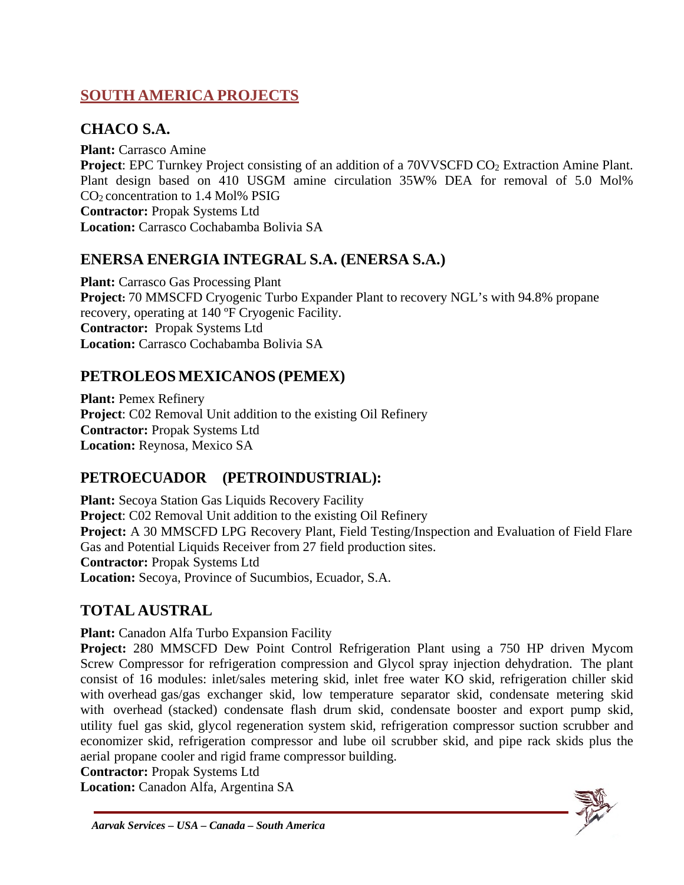## **SOUTH AMERICA PROJECTS**

## **CHACO S.A.**

**Plant:** Carrasco Amine **Project:** EPC Turnkey Project consisting of an addition of a 70VVSCFD CO<sub>2</sub> Extraction Amine Plant. Plant design based on 410 USGM amine circulation 35W% DEA for removal of 5.0 Mol% CO2 concentration to 1.4 Mol% PSIG **Contractor:** Propak Systems Ltd **Location:** Carrasco Cochabamba Bolivia SA

## **ENERSA ENERGIA INTEGRAL S.A. (ENERSA S.A.)**

**Plant:** Carrasco Gas Processing Plant **Project:** 70 MMSCFD Cryogenic Turbo Expander Plant to recovery NGL's with 94.8% propane recovery, operating at 140 ºF Cryogenic Facility. **Contractor:** Propak Systems Ltd **Location:** Carrasco Cochabamba Bolivia SA

## **PETROLEOS MEXICANOS (PEMEX)**

**Plant:** Pemex Refinery **Project**: C02 Removal Unit addition to the existing Oil Refinery **Contractor:** Propak Systems Ltd **Location:** Reynosa, Mexico SA

## **PETROECUADOR (PETROINDUSTRIAL):**

**Plant:** Secoya Station Gas Liquids Recovery Facility **Project**: C02 Removal Unit addition to the existing Oil Refinery **Project:** A 30 MMSCFD LPG Recovery Plant, Field Testing/Inspection and Evaluation of Field Flare Gas and Potential Liquids Receiver from 27 field production sites. **Contractor:** Propak Systems Ltd **Location:** Secoya, Province of Sucumbios, Ecuador, S.A.

## **TOTAL AUSTRAL**

**Plant:** Canadon Alfa Turbo Expansion Facility

**Project:** 280 MMSCFD Dew Point Control Refrigeration Plant using a 750 HP driven Mycom Screw Compressor for refrigeration compression and Glycol spray injection dehydration. The plant consist of 16 modules: inlet/sales metering skid, inlet free water KO skid, refrigeration chiller skid with overhead gas/gas exchanger skid, low temperature separator skid, condensate metering skid with overhead (stacked) condensate flash drum skid, condensate booster and export pump skid, utility fuel gas skid, glycol regeneration system skid, refrigeration compressor suction scrubber and economizer skid, refrigeration compressor and lube oil scrubber skid, and pipe rack skids plus the aerial propane cooler and rigid frame compressor building.

**Contractor:** Propak Systems Ltd

**Location:** Canadon Alfa, Argentina SA